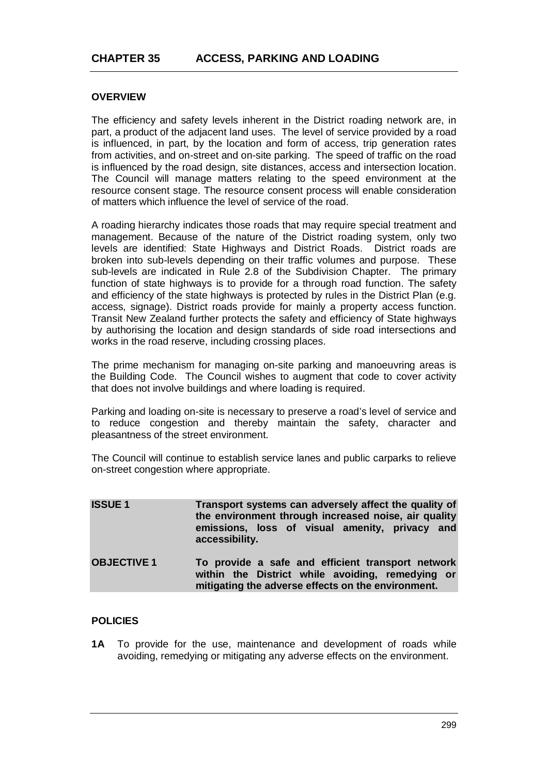# **OVERVIEW**

The efficiency and safety levels inherent in the District roading network are, in part, a product of the adjacent land uses. The level of service provided by a road is influenced, in part, by the location and form of access, trip generation rates from activities, and on-street and on-site parking. The speed of traffic on the road is influenced by the road design, site distances, access and intersection location. The Council will manage matters relating to the speed environment at the resource consent stage. The resource consent process will enable consideration of matters which influence the level of service of the road.

A roading hierarchy indicates those roads that may require special treatment and management. Because of the nature of the District roading system, only two levels are identified: State Highways and District Roads. District roads are broken into sub-levels depending on their traffic volumes and purpose. These sub-levels are indicated in Rule 2.8 of the Subdivision Chapter. The primary function of state highways is to provide for a through road function. The safety and efficiency of the state highways is protected by rules in the District Plan (e.g. access, signage). District roads provide for mainly a property access function. Transit New Zealand further protects the safety and efficiency of State highways by authorising the location and design standards of side road intersections and works in the road reserve, including crossing places.

The prime mechanism for managing on-site parking and manoeuvring areas is the Building Code. The Council wishes to augment that code to cover activity that does not involve buildings and where loading is required.

Parking and loading on-site is necessary to preserve a road's level of service and to reduce congestion and thereby maintain the safety, character and pleasantness of the street environment.

The Council will continue to establish service lanes and public carparks to relieve on-street congestion where appropriate.

| <b>ISSUE1</b>      | Transport systems can adversely affect the quality of<br>the environment through increased noise, air quality<br>emissions, loss of visual amenity, privacy and<br>accessibility. |
|--------------------|-----------------------------------------------------------------------------------------------------------------------------------------------------------------------------------|
| <b>OBJECTIVE 1</b> | To provide a safe and efficient transport network<br>within the District while avoiding, remedying or<br>mitigating the adverse effects on the environment.                       |

## **POLICIES**

**1A** To provide for the use, maintenance and development of roads while avoiding, remedying or mitigating any adverse effects on the environment.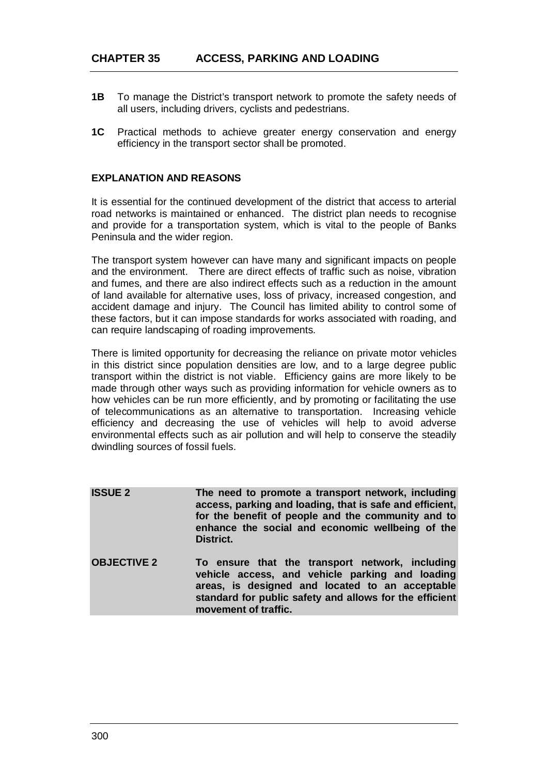- **1B** To manage the District's transport network to promote the safety needs of all users, including drivers, cyclists and pedestrians.
- **1C** Practical methods to achieve greater energy conservation and energy efficiency in the transport sector shall be promoted.

### **EXPLANATION AND REASONS**

It is essential for the continued development of the district that access to arterial road networks is maintained or enhanced. The district plan needs to recognise and provide for a transportation system, which is vital to the people of Banks Peninsula and the wider region.

The transport system however can have many and significant impacts on people and the environment. There are direct effects of traffic such as noise, vibration and fumes, and there are also indirect effects such as a reduction in the amount of land available for alternative uses, loss of privacy, increased congestion, and accident damage and injury. The Council has limited ability to control some of these factors, but it can impose standards for works associated with roading, and can require landscaping of roading improvements.

There is limited opportunity for decreasing the reliance on private motor vehicles in this district since population densities are low, and to a large degree public transport within the district is not viable. Efficiency gains are more likely to be made through other ways such as providing information for vehicle owners as to how vehicles can be run more efficiently, and by promoting or facilitating the use of telecommunications as an alternative to transportation. Increasing vehicle efficiency and decreasing the use of vehicles will help to avoid adverse environmental effects such as air pollution and will help to conserve the steadily dwindling sources of fossil fuels.

| <b>ISSUE 2</b>     | The need to promote a transport network, including<br>access, parking and loading, that is safe and efficient,<br>for the benefit of people and the community and to<br>enhance the social and economic wellbeing of the<br>District.    |
|--------------------|------------------------------------------------------------------------------------------------------------------------------------------------------------------------------------------------------------------------------------------|
| <b>OBJECTIVE 2</b> | To ensure that the transport network, including<br>vehicle access, and vehicle parking and loading<br>areas, is designed and located to an acceptable<br>standard for public safety and allows for the efficient<br>movement of traffic. |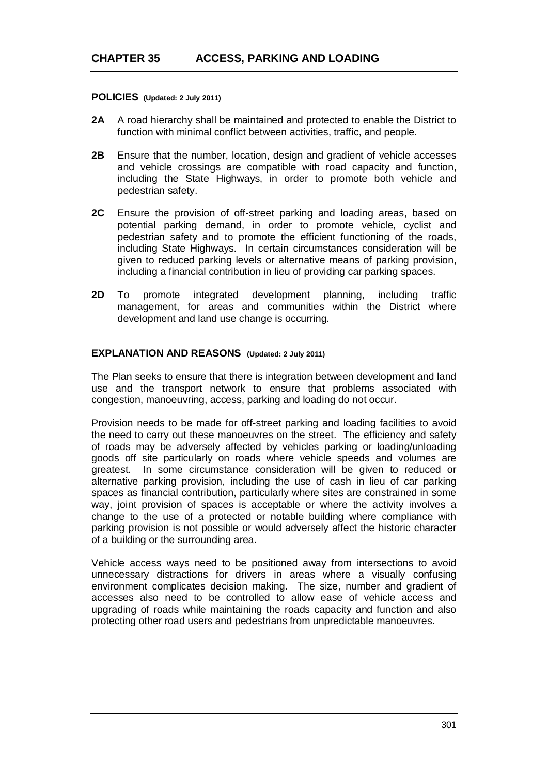**POLICIES (Updated: 2 July 2011)**

- **2A** A road hierarchy shall be maintained and protected to enable the District to function with minimal conflict between activities, traffic, and people.
- **2B** Ensure that the number, location, design and gradient of vehicle accesses and vehicle crossings are compatible with road capacity and function, including the State Highways, in order to promote both vehicle and pedestrian safety.
- **2C** Ensure the provision of off-street parking and loading areas, based on potential parking demand, in order to promote vehicle, cyclist and pedestrian safety and to promote the efficient functioning of the roads, including State Highways. In certain circumstances consideration will be given to reduced parking levels or alternative means of parking provision, including a financial contribution in lieu of providing car parking spaces.
- **2D** To promote integrated development planning, including traffic management, for areas and communities within the District where development and land use change is occurring.

# **EXPLANATION AND REASONS (Updated: 2 July 2011)**

The Plan seeks to ensure that there is integration between development and land use and the transport network to ensure that problems associated with congestion, manoeuvring, access, parking and loading do not occur.

Provision needs to be made for off-street parking and loading facilities to avoid the need to carry out these manoeuvres on the street. The efficiency and safety of roads may be adversely affected by vehicles parking or loading/unloading goods off site particularly on roads where vehicle speeds and volumes are greatest. In some circumstance consideration will be given to reduced or alternative parking provision, including the use of cash in lieu of car parking spaces as financial contribution, particularly where sites are constrained in some way, joint provision of spaces is acceptable or where the activity involves a change to the use of a protected or notable building where compliance with parking provision is not possible or would adversely affect the historic character of a building or the surrounding area.

Vehicle access ways need to be positioned away from intersections to avoid unnecessary distractions for drivers in areas where a visually confusing environment complicates decision making. The size, number and gradient of accesses also need to be controlled to allow ease of vehicle access and upgrading of roads while maintaining the roads capacity and function and also protecting other road users and pedestrians from unpredictable manoeuvres.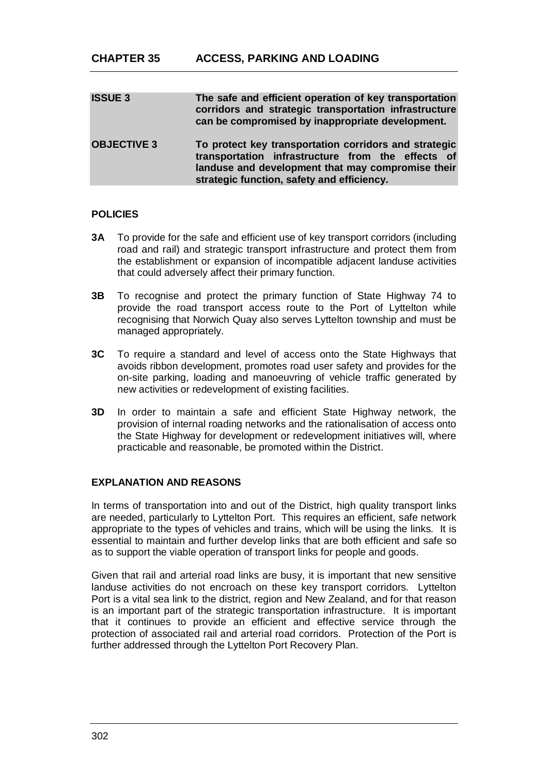| <b>ISSUE 3</b>     | The safe and efficient operation of key transportation<br>corridors and strategic transportation infrastructure<br>can be compromised by inappropriate development.                                           |
|--------------------|---------------------------------------------------------------------------------------------------------------------------------------------------------------------------------------------------------------|
| <b>OBJECTIVE 3</b> | To protect key transportation corridors and strategic<br>transportation infrastructure from the effects of<br>landuse and development that may compromise their<br>strategic function, safety and efficiency. |

### **POLICIES**

- **3A** To provide for the safe and efficient use of key transport corridors (including road and rail) and strategic transport infrastructure and protect them from the establishment or expansion of incompatible adjacent landuse activities that could adversely affect their primary function.
- **3B** To recognise and protect the primary function of State Highway 74 to provide the road transport access route to the Port of Lyttelton while recognising that Norwich Quay also serves Lyttelton township and must be managed appropriately.
- **3C** To require a standard and level of access onto the State Highways that avoids ribbon development, promotes road user safety and provides for the on-site parking, loading and manoeuvring of vehicle traffic generated by new activities or redevelopment of existing facilities.
- **3D** In order to maintain a safe and efficient State Highway network, the provision of internal roading networks and the rationalisation of access onto the State Highway for development or redevelopment initiatives will, where practicable and reasonable, be promoted within the District.

# **EXPLANATION AND REASONS**

In terms of transportation into and out of the District, high quality transport links are needed, particularly to Lyttelton Port. This requires an efficient, safe network appropriate to the types of vehicles and trains, which will be using the links. It is essential to maintain and further develop links that are both efficient and safe so as to support the viable operation of transport links for people and goods.

Given that rail and arterial road links are busy, it is important that new sensitive landuse activities do not encroach on these key transport corridors. Lyttelton Port is a vital sea link to the district, region and New Zealand, and for that reason is an important part of the strategic transportation infrastructure. It is important that it continues to provide an efficient and effective service through the protection of associated rail and arterial road corridors. Protection of the Port is further addressed through the Lyttelton Port Recovery Plan.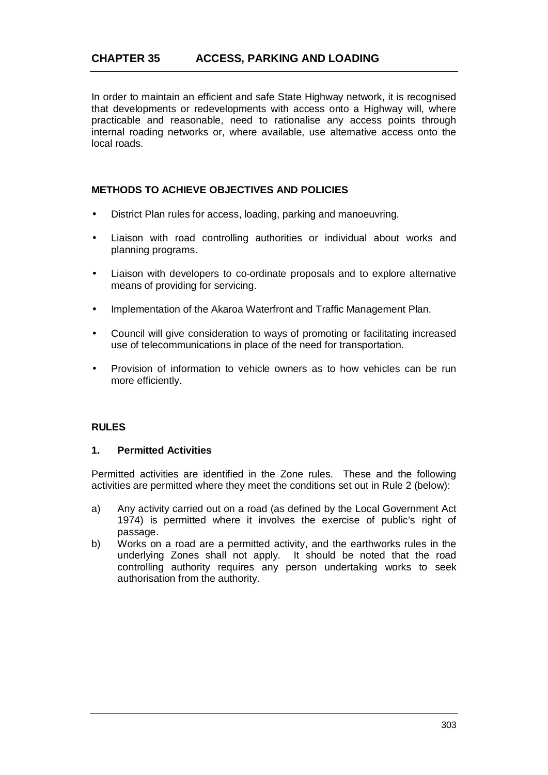In order to maintain an efficient and safe State Highway network, it is recognised that developments or redevelopments with access onto a Highway will, where practicable and reasonable, need to rationalise any access points through internal roading networks or, where available, use alternative access onto the local roads.

# **METHODS TO ACHIEVE OBJECTIVES AND POLICIES**

- District Plan rules for access, loading, parking and manoeuvring. l,
- Liaison with road controlling authorities or individual about works and planning programs.
- Liaison with developers to co-ordinate proposals and to explore alternative  $\mathbf{r}$ means of providing for servicing.
- Implementation of the Akaroa Waterfront and Traffic Management Plan.
- Council will give consideration to ways of promoting or facilitating increased use of telecommunications in place of the need for transportation.
- Provision of information to vehicle owners as to how vehicles can be run more efficiently.

## **RULES**

#### **1. Permitted Activities**

Permitted activities are identified in the Zone rules. These and the following activities are permitted where they meet the conditions set out in Rule 2 (below):

- a) Any activity carried out on a road (as defined by the Local Government Act 1974) is permitted where it involves the exercise of public's right of passage.
- b) Works on a road are a permitted activity, and the earthworks rules in the underlying Zones shall not apply. It should be noted that the road controlling authority requires any person undertaking works to seek authorisation from the authority.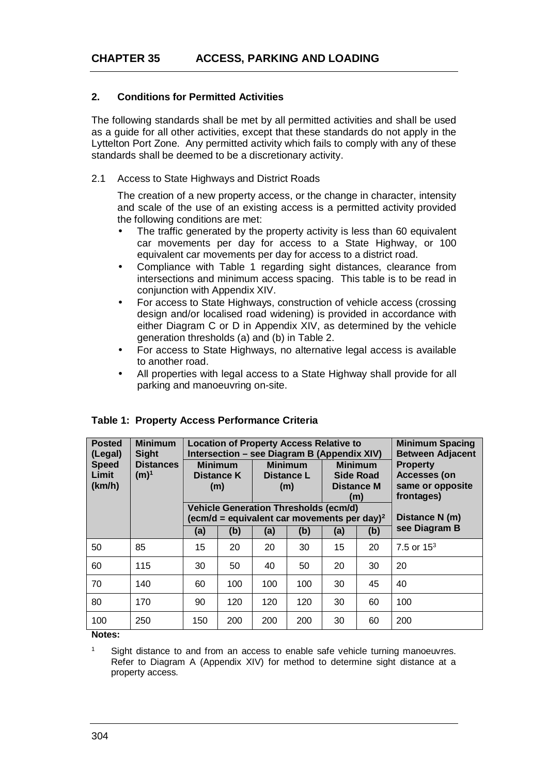## **2. Conditions for Permitted Activities**

The following standards shall be met by all permitted activities and shall be used as a guide for all other activities, except that these standards do not apply in the Lyttelton Port Zone. Any permitted activity which fails to comply with any of these standards shall be deemed to be a discretionary activity.

2.1 Access to State Highways and District Roads

The creation of a new property access, or the change in character, intensity and scale of the use of an existing access is a permitted activity provided the following conditions are met:

- The traffic generated by the property activity is less than 60 equivalent car movements per day for access to a State Highway, or 100 equivalent car movements per day for access to a district road.
- Compliance with Table 1 regarding sight distances, clearance from intersections and minimum access spacing. This table is to be read in conjunction with Appendix XIV.
- For access to State Highways, construction of vehicle access (crossing design and/or localised road widening) is provided in accordance with either Diagram C or D in Appendix XIV, as determined by the vehicle generation thresholds (a) and (b) in Table 2.
- For access to State Highways, no alternative legal access is available to another road.
- All properties with legal access to a State Highway shall provide for all parking and manoeuvring on-site.

| <b>Posted</b><br>(Legal)<br><b>Speed</b><br>Limit<br>(km/h) | <b>Minimum</b><br><b>Sight</b><br><b>Distances</b><br>$(m)^1$ | <b>Location of Property Access Relative to</b><br>Intersection – see Diagram B (Appendix XIV)<br><b>Minimum</b><br><b>Minimum</b><br><b>Minimum</b><br>Distance K<br>Side Road<br>Distance L<br><b>Distance M</b><br>(m)<br>(m) |                                                                                                                |     | <b>Minimum Spacing</b><br><b>Between Adjacent</b><br><b>Property</b><br><b>Accesses (on</b><br>same or opposite |                              |     |               |
|-------------------------------------------------------------|---------------------------------------------------------------|---------------------------------------------------------------------------------------------------------------------------------------------------------------------------------------------------------------------------------|----------------------------------------------------------------------------------------------------------------|-----|-----------------------------------------------------------------------------------------------------------------|------------------------------|-----|---------------|
|                                                             |                                                               |                                                                                                                                                                                                                                 | (m)<br><b>Vehicle Generation Thresholds (ecm/d)</b><br>(ecm/d = equivalent car movements per day) <sup>2</sup> |     |                                                                                                                 | frontages)<br>Distance N (m) |     |               |
|                                                             |                                                               | (a)                                                                                                                                                                                                                             | (b)                                                                                                            | (a) | (b)                                                                                                             | (a)                          | (b) | see Diagram B |
| 50                                                          | 85                                                            | 15                                                                                                                                                                                                                              | 20                                                                                                             | 20  | 30                                                                                                              | 15                           | 20  | 7.5 or $15^3$ |
| 60                                                          | 115                                                           | 30                                                                                                                                                                                                                              | 50                                                                                                             | 40  | 50                                                                                                              | 20                           | 30  | 20            |
| 70                                                          | 140                                                           | 60                                                                                                                                                                                                                              | 100                                                                                                            | 100 | 100                                                                                                             | 30                           | 45  | 40            |
| 80                                                          | 170                                                           | 90                                                                                                                                                                                                                              | 120                                                                                                            | 120 | 120                                                                                                             | 30                           | 60  | 100           |
| 100<br>.                                                    | 250                                                           | 150                                                                                                                                                                                                                             | 200                                                                                                            | 200 | 200                                                                                                             | 30                           | 60  | 200           |

## **Table 1: Property Access Performance Criteria**

**Notes:**

1 Sight distance to and from an access to enable safe vehicle turning manoeuvres. Refer to Diagram A (Appendix XIV) for method to determine sight distance at a property access.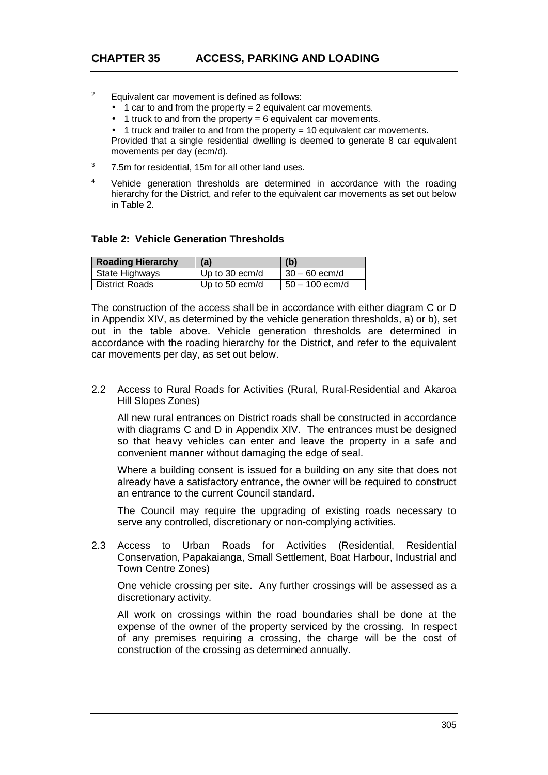- $\overline{2}$  Equivalent car movement is defined as follows:
	- $1$  car to and from the property = 2 equivalent car movements.
	- 1 truck to and from the property  $= 6$  equivalent car movements.
	- 1 truck and trailer to and from the property = 10 equivalent car movements.

Provided that a single residential dwelling is deemed to generate 8 car equivalent movements per day (ecm/d).

- 3 7.5m for residential, 15m for all other land uses.
- 4 Vehicle generation thresholds are determined in accordance with the roading hierarchy for the District, and refer to the equivalent car movements as set out below in Table 2.

### **Table 2: Vehicle Generation Thresholds**

| <b>Roading Hierarchy</b> | (a)            | (b)              |
|--------------------------|----------------|------------------|
| State Highways           | Up to 30 ecm/d | $30 - 60$ ecm/d  |
| District Roads           | Up to 50 ecm/d | $50 - 100$ ecm/d |

The construction of the access shall be in accordance with either diagram C or D in Appendix XIV, as determined by the vehicle generation thresholds, a) or b), set out in the table above. Vehicle generation thresholds are determined in accordance with the roading hierarchy for the District, and refer to the equivalent car movements per day, as set out below.

2.2 Access to Rural Roads for Activities (Rural, Rural-Residential and Akaroa Hill Slopes Zones)

All new rural entrances on District roads shall be constructed in accordance with diagrams C and D in Appendix XIV. The entrances must be designed so that heavy vehicles can enter and leave the property in a safe and convenient manner without damaging the edge of seal.

Where a building consent is issued for a building on any site that does not already have a satisfactory entrance, the owner will be required to construct an entrance to the current Council standard.

The Council may require the upgrading of existing roads necessary to serve any controlled, discretionary or non-complying activities.

2.3 Access to Urban Roads for Activities (Residential, Residential Conservation, Papakaianga, Small Settlement, Boat Harbour, Industrial and Town Centre Zones)

One vehicle crossing per site. Any further crossings will be assessed as a discretionary activity.

All work on crossings within the road boundaries shall be done at the expense of the owner of the property serviced by the crossing. In respect of any premises requiring a crossing, the charge will be the cost of construction of the crossing as determined annually.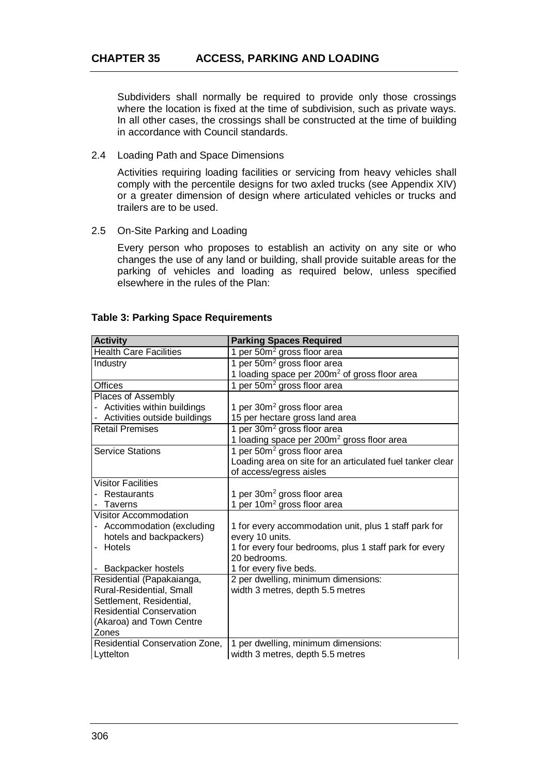Subdividers shall normally be required to provide only those crossings where the location is fixed at the time of subdivision, such as private ways. In all other cases, the crossings shall be constructed at the time of building in accordance with Council standards.

#### 2.4 Loading Path and Space Dimensions

Activities requiring loading facilities or servicing from heavy vehicles shall comply with the percentile designs for two axled trucks (see Appendix XIV) or a greater dimension of design where articulated vehicles or trucks and trailers are to be used.

### 2.5 On-Site Parking and Loading

Every person who proposes to establish an activity on any site or who changes the use of any land or building, shall provide suitable areas for the parking of vehicles and loading as required below, unless specified elsewhere in the rules of the Plan:

### **Table 3: Parking Space Requirements**

| <b>Activity</b>                                             | <b>Parking Spaces Required</b>                            |
|-------------------------------------------------------------|-----------------------------------------------------------|
| <b>Health Care Facilities</b>                               | 1 per 50m <sup>2</sup> gross floor area                   |
| Industry                                                    | 1 per 50m <sup>2</sup> gross floor area                   |
|                                                             | 1 loading space per 200m <sup>2</sup> of gross floor area |
| <b>Offices</b>                                              | 1 per 50m <sup>2</sup> gross floor area                   |
| Places of Assembly                                          |                                                           |
| Activities within buildings                                 | 1 per 30m <sup>2</sup> gross floor area                   |
| - Activities outside buildings                              | 15 per hectare gross land area                            |
| <b>Retail Premises</b>                                      | 1 per 30m <sup>2</sup> gross floor area                   |
|                                                             | 1 loading space per 200m <sup>2</sup> gross floor area    |
| <b>Service Stations</b>                                     | 1 per 50m <sup>2</sup> gross floor area                   |
|                                                             | Loading area on site for an articulated fuel tanker clear |
|                                                             | of access/egress aisles                                   |
| <b>Visitor Facilities</b>                                   |                                                           |
| Restaurants                                                 | 1 per 30m <sup>2</sup> gross floor area                   |
| Taverns                                                     | 1 per 10m <sup>2</sup> gross floor area                   |
| <b>Visitor Accommodation</b>                                |                                                           |
| - Accommodation (excluding                                  | 1 for every accommodation unit, plus 1 staff park for     |
| hotels and backpackers)                                     | every 10 units.                                           |
| Hotels                                                      | 1 for every four bedrooms, plus 1 staff park for every    |
|                                                             | 20 bedrooms.                                              |
| Backpacker hostels                                          | 1 for every five beds.                                    |
| Residential (Papakaianga,                                   | 2 per dwelling, minimum dimensions:                       |
| Rural-Residential, Small                                    | width 3 metres, depth 5.5 metres                          |
| Settlement, Residential,<br><b>Residential Conservation</b> |                                                           |
| (Akaroa) and Town Centre                                    |                                                           |
| Zones                                                       |                                                           |
| Residential Conservation Zone,                              | 1 per dwelling, minimum dimensions:                       |
| Lyttelton                                                   | width 3 metres, depth 5.5 metres                          |
|                                                             |                                                           |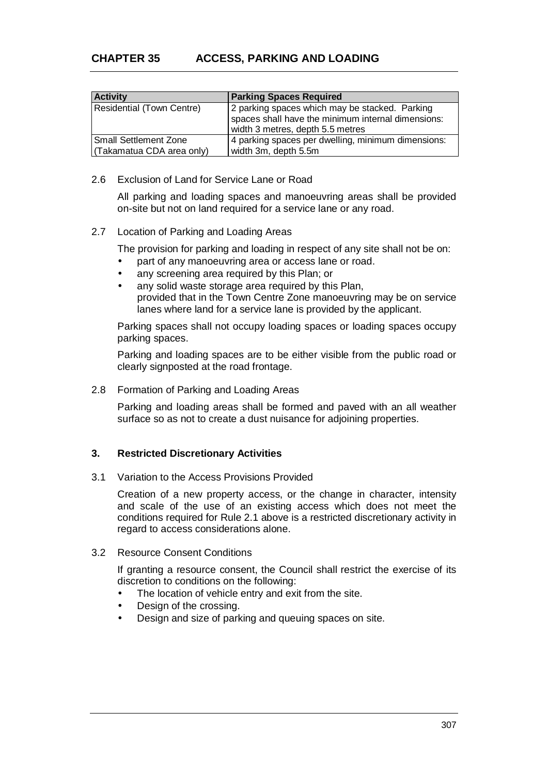| <b>Activity</b>           | <b>Parking Spaces Required</b>                                                                                                           |
|---------------------------|------------------------------------------------------------------------------------------------------------------------------------------|
| Residential (Town Centre) | 2 parking spaces which may be stacked. Parking<br>spaces shall have the minimum internal dimensions:<br>width 3 metres, depth 5.5 metres |
| Small Settlement Zone     | 4 parking spaces per dwelling, minimum dimensions:                                                                                       |
| (Takamatua CDA area only) | width 3m, depth 5.5m                                                                                                                     |

2.6 Exclusion of Land for Service Lane or Road

All parking and loading spaces and manoeuvring areas shall be provided on-site but not on land required for a service lane or any road.

### 2.7 Location of Parking and Loading Areas

The provision for parking and loading in respect of any site shall not be on:

- part of any manoeuvring area or access lane or road.
- any screening area required by this Plan; or
- any solid waste storage area required by this Plan. provided that in the Town Centre Zone manoeuvring may be on service lanes where land for a service lane is provided by the applicant.

Parking spaces shall not occupy loading spaces or loading spaces occupy parking spaces.

Parking and loading spaces are to be either visible from the public road or clearly signposted at the road frontage.

2.8 Formation of Parking and Loading Areas

Parking and loading areas shall be formed and paved with an all weather surface so as not to create a dust nuisance for adjoining properties.

## **3. Restricted Discretionary Activities**

3.1 Variation to the Access Provisions Provided

Creation of a new property access, or the change in character, intensity and scale of the use of an existing access which does not meet the conditions required for Rule 2.1 above is a restricted discretionary activity in regard to access considerations alone.

3.2 Resource Consent Conditions

If granting a resource consent, the Council shall restrict the exercise of its discretion to conditions on the following:

- The location of vehicle entry and exit from the site.
- Design of the crossing.
- Design and size of parking and queuing spaces on site.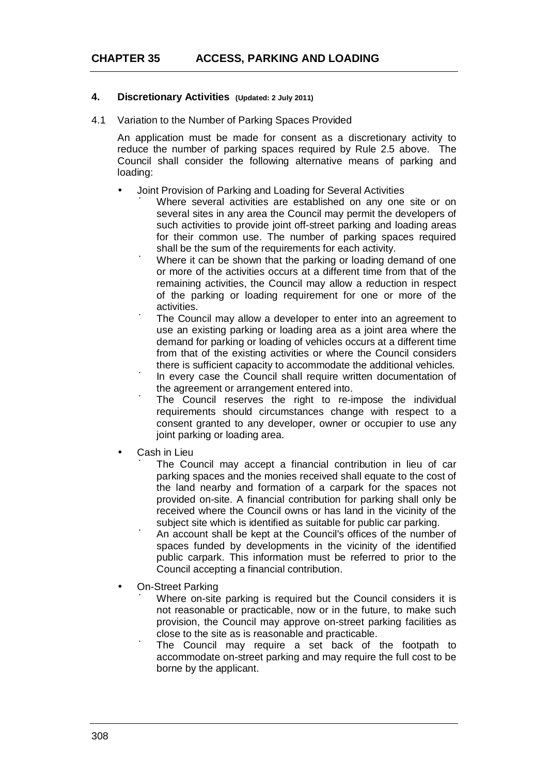### **4. Discretionary Activities (Updated: 2 July 2011)**

4.1 Variation to the Number of Parking Spaces Provided

An application must be made for consent as a discretionary activity to reduce the number of parking spaces required by Rule 2.5 above. The Council shall consider the following alternative means of parking and loading:

- Joint Provision of Parking and Loading for Several Activities
	- Where several activities are established on any one site or on several sites in any area the Council may permit the developers of such activities to provide joint off-street parking and loading areas for their common use. The number of parking spaces required shall be the sum of the requirements for each activity.
	- ú Where it can be shown that the parking or loading demand of one or more of the activities occurs at a different time from that of the remaining activities, the Council may allow a reduction in respect of the parking or loading requirement for one or more of the activities.
	- ú The Council may allow a developer to enter into an agreement to use an existing parking or loading area as a joint area where the demand for parking or loading of vehicles occurs at a different time from that of the existing activities or where the Council considers there is sufficient capacity to accommodate the additional vehicles.
	- ú In every case the Council shall require written documentation of the agreement or arrangement entered into.
	- ú The Council reserves the right to re-impose the individual requirements should circumstances change with respect to a consent granted to any developer, owner or occupier to use any joint parking or loading area.
	- Cash in Lieu
		- ú The Council may accept a financial contribution in lieu of car parking spaces and the monies received shall equate to the cost of the land nearby and formation of a carpark for the spaces not provided on-site. A financial contribution for parking shall only be received where the Council owns or has land in the vicinity of the subject site which is identified as suitable for public car parking.
		- ú An account shall be kept at the Council's offices of the number of spaces funded by developments in the vicinity of the identified public carpark. This information must be referred to prior to the Council accepting a financial contribution.
	- On-Street Parking
		- ú Where on-site parking is required but the Council considers it is not reasonable or practicable, now or in the future, to make such provision, the Council may approve on-street parking facilities as close to the site as is reasonable and practicable.
	- ú The Council may require a set back of the footpath to accommodate on-street parking and may require the full cost to be borne by the applicant.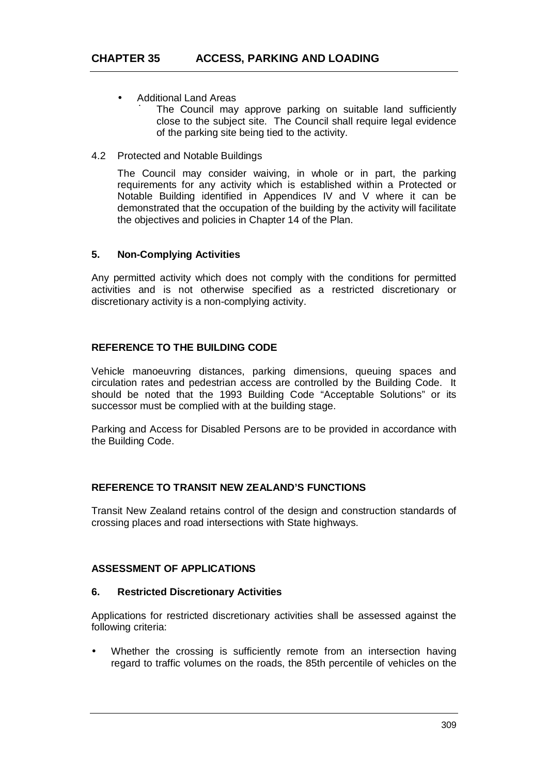- Additional Land Areas
	- The Council may approve parking on suitable land sufficiently close to the subject site. The Council shall require legal evidence of the parking site being tied to the activity.
- 4.2 Protected and Notable Buildings

The Council may consider waiving, in whole or in part, the parking requirements for any activity which is established within a Protected or Notable Building identified in Appendices IV and V where it can be demonstrated that the occupation of the building by the activity will facilitate the objectives and policies in Chapter 14 of the Plan.

## **5. Non-Complying Activities**

Any permitted activity which does not comply with the conditions for permitted activities and is not otherwise specified as a restricted discretionary or discretionary activity is a non-complying activity.

## **REFERENCE TO THE BUILDING CODE**

Vehicle manoeuvring distances, parking dimensions, queuing spaces and circulation rates and pedestrian access are controlled by the Building Code. It should be noted that the 1993 Building Code "Acceptable Solutions" or its successor must be complied with at the building stage.

Parking and Access for Disabled Persons are to be provided in accordance with the Building Code.

## **REFERENCE TO TRANSIT NEW ZEALAND'S FUNCTIONS**

Transit New Zealand retains control of the design and construction standards of crossing places and road intersections with State highways.

## **ASSESSMENT OF APPLICATIONS**

## **6. Restricted Discretionary Activities**

Applications for restricted discretionary activities shall be assessed against the following criteria:

 Whether the crossing is sufficiently remote from an intersection having regard to traffic volumes on the roads, the 85th percentile of vehicles on the